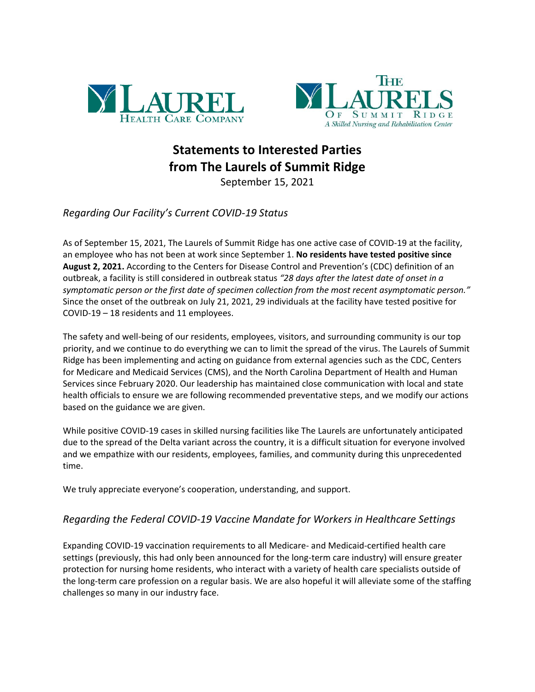



## **Statements to Interested Parties from The Laurels of Summit Ridge**

September 15, 2021

## *Regarding Our Facility's Current COVID-19 Status*

As of September 15, 2021, The Laurels of Summit Ridge has one active case of COVID-19 at the facility, an employee who has not been at work since September 1. **No residents have tested positive since August 2, 2021.** According to the Centers for Disease Control and Prevention's (CDC) definition of an outbreak, a facility is still considered in outbreak status *"28 days after the latest date of onset in a symptomatic person or the first date of specimen collection from the most recent asymptomatic person."* Since the onset of the outbreak on July 21, 2021, 29 individuals at the facility have tested positive for COVID-19 – 18 residents and 11 employees.

The safety and well-being of our residents, employees, visitors, and surrounding community is our top priority, and we continue to do everything we can to limit the spread of the virus. The Laurels of Summit Ridge has been implementing and acting on guidance from external agencies such as the CDC, Centers for Medicare and Medicaid Services (CMS), and the North Carolina Department of Health and Human Services since February 2020. Our leadership has maintained close communication with local and state health officials to ensure we are following recommended preventative steps, and we modify our actions based on the guidance we are given.

While positive COVID-19 cases in skilled nursing facilities like The Laurels are unfortunately anticipated due to the spread of the Delta variant across the country, it is a difficult situation for everyone involved and we empathize with our residents, employees, families, and community during this unprecedented time.

We truly appreciate everyone's cooperation, understanding, and support.

## *Regarding the Federal COVID-19 Vaccine Mandate for Workers in Healthcare Settings*

Expanding COVID-19 vaccination requirements to all Medicare- and Medicaid-certified health care settings (previously, this had only been announced for the long-term care industry) will ensure greater protection for nursing home residents, who interact with a variety of health care specialists outside of the long-term care profession on a regular basis. We are also hopeful it will alleviate some of the staffing challenges so many in our industry face.